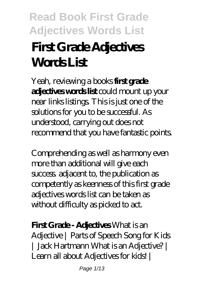# **First Grade Adjectives WorkI** ist

Yeah, reviewing a books **first grade adjectives words list** could mount up your near links listings. This is just one of the solutions for you to be successful. As understood, carrying out does not recommend that you have fantastic points.

Comprehending as well as harmony even more than additional will give each success. adjacent to, the publication as competently as keenness of this first grade adjectives words list can be taken as without difficulty as picked to act.

### **First Grade - Adjectives** *What is an*

*Adjective | Parts of Speech Song for Kids | Jack Hartmann What is an Adjective? | Learn all about Adjectives for kids! |*

Page 1/13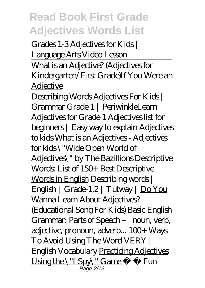*Grades 1-3 Adjectives for Kids | Language Arts Video Lesson*

What is an Adjective? (Adjectives for Kindergarten/First Grade)If You Were an **Adjective** 

Describing Words Adjectives For Kids | Grammar Grade 1 | Periwinkle*Learn Adjectives for Grade 1 Adjectives list for beginners | Easy way to explain Adjectives to kids What is an Adjectives - Adjectives for kids \"Wide Open World of Adjectives\" by The Bazillions* Descriptive Words: List of 150+ Best Descriptive Words in English *Describing words | English | Grade-1,2 | Tutway |* Do You Wanna Learn About Adjectives? (Educational Song For Kids) *Basic English Grammar: Parts of Speech – noun, verb, adjective, pronoun, adverb... 100+ Ways To Avoid Using The Word VERY | English Vocabulary* Practicing Adjectives Using the \"I Spy\" Game *Fun* Page 2/13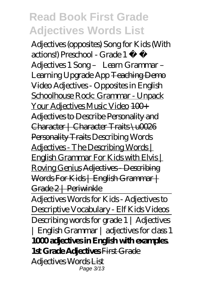*Adjectives (opposites) Song for Kids (With actions!) Preschool - Grade 1 ♬ ♩ Adjectives 1 Song – Learn Grammar – Learning Upgrade App* Teaching Demo Video Adjectives - Opposites in English Schoolhouse Rock: Grammar - Unpack Your Adjectives Music Video 100+ Adjectives to Describe Personality and Character | Character Traits \u0026 Personality Traits *Describing Words* Adjectives - The Describing Words | English Grammar For Kids with Elvis | Roving Genius Adjectives - Describing Words For Kids | English Grammar | Grade 2 | Periwinkle

Adjectives Words for Kids - Adjectives to Descriptive Vocabulary - Elf Kids Videos Describing words for grade 1 | Adjectives | English Grammar | adjectives for class 1 **1000 adjectives in English with examples. 1st Grade Adjectives** First Grade Adjectives Words List Page 3/13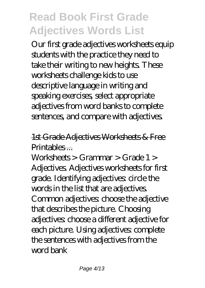Our first grade adjectives worksheets equip students with the practice they need to take their writing to new heights. These worksheets challenge kids to use descriptive language in writing and speaking exercises, select appropriate adjectives from word banks to complete sentences, and compare with adjectives.

1st Grade Adjectives Worksheets & Free Printables ...

Worksheets > Grammar > Grade 1 > Adjectives. Adjectives worksheets for first grade. Identifying adjectives: circle the words in the list that are adjectives. Common adjectives choose the adjective that describes the picture. Choosing adjectives: choose a different adjective for each picture. Using adjectives: complete the sentences with adjectives from the word bank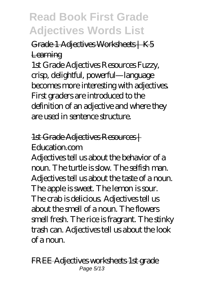Grade 1 Adjectives Worksheets | K5 **Learning** 

1st Grade Adjectives Resources Fuzzy, crisp, delightful, powerful—language becomes more interesting with adjectives. First graders are introduced to the definition of an adjective and where they are used in sentence structure.

### 1st Grade Adjectives Resources | Education.com

Adjectives tell us about the behavior of a noun. The turtle is slow. The selfish man. Adjectives tell us about the taste of a noun. The apple is sweet. The lemon is sour. The crab is delicious. Adjectives tell us about the smell of a noun. The flowers smell fresh. The rice is fragrant. The stinky trash can. Adjectives tell us about the look of a noun.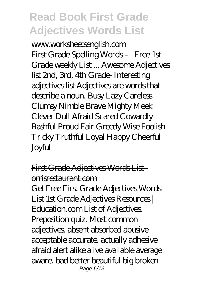www.worksheetsenglish.com First Grade Spelling Words – Free 1st Grade weekly List ... Awesome Adjectives list 2nd, 3rd, 4th Grade- Interesting adjectives list Adjectives are words that describe a noun. Busy Lazy Careless Clumsy Nimble Brave Mighty Meek Clever Dull Afraid Scared Cowardly Bashful Proud Fair Greedy Wise Foolish Tricky Truthful Loyal Happy Cheerful Joyful

### First Grade Adjectives Words Listorrisrestaurant.com

Get Free First Grade Adjectives Words List 1st Grade Adjectives Resources | Education.com List of Adjectives. Preposition quiz. Most common adjectives. absent absorbed abusive acceptable accurate. actually adhesive afraid alert alike alive available average aware. bad better beautiful big broken Page 6/13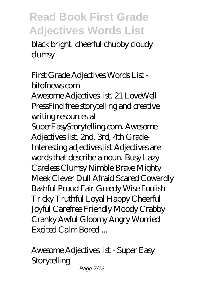black bright. cheerful chubby cloudy clumsy

### First Grade Adjectives Words Listbitofnews.com

Awesome Adjectives list. 21 LoveWell PressFind free storytelling and creative writing resources at

SuperEasyStorytelling.com. Awesome Adjectives list. 2nd, 3rd, 4th Grade-Interesting adjectives list Adjectives are words that describe a noun. Busy Lazy Careless Clumsy Nimble Brave Mighty Meek Clever Dull Afraid Scared Cowardly Bashful Proud Fair Greedy Wise Foolish Tricky Truthful Loyal Happy Cheerful Joyful Carefree Friendly Moody Crabby Cranky Awful Gloomy Angry Worried Excited Calm Bored ...

Awesome Adjectives list - Super Easy **Storytelling** 

Page 7/13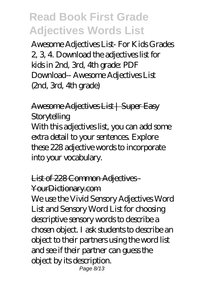Awesome Adjectives List- For Kids Grades 2, 3, 4. Download the adjectives list for kids in 2nd, 3rd, 4th grade: PDF Download-- Awesome Adjectives List (2nd, 3rd, 4th grade)

Awesome Adjectives List | Super Easy **Storytelling** With this adjectives list, you can add some extra detail to your sentences. Explore these 228 adjective words to incorporate into your vocabulary.

#### List of 228 Common Adjectives-

#### YourDictionary.com

We use the Vivid Sensory Adjectives Word List and Sensory Word List for choosing descriptive sensory words to describe a chosen object. I ask students to describe an object to their partners using the word list and see if their partner can guess the object by its description. Page 8/13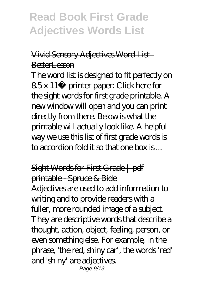### Vivid Sensory Adjectives Word List - BetterLesson

The word list is designed to fit perfectly on 8.5 x 11″ printer paper: Click here for the sight words for first grade printable. A new window will open and you can print directly from there. Below is what the printable will actually look like. A helpful way we use this list of first grade words is to accordion fold it so that one box is ...

# Sight Words for First Grade | pdf printable - Spruce & Bide

Adjectives are used to add information to writing and to provide readers with a fuller, more rounded image of a subject. They are descriptive words that describe a thought, action, object, feeling, person, or even something else. For example, in the phrase, 'the red, shiny car', the words 'red' and 'shiny' are adjectives. Page 9/13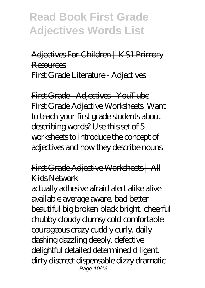### Adjectives For Children | KS1 Primary Resources First Grade Literature - Adjectives

First Grade Adjectives YouTube First Grade Adjective Worksheets. Want to teach your first grade students about describing words? Use this set of 5 worksheets to introduce the concept of adjectives and how they describe nouns.

### First Grade Adjective Worksheets | All Kids Network

actually adhesive afraid alert alike alive available average aware. bad better beautiful big broken black bright. cheerful chubby cloudy clumsy cold comfortable courageous crazy cuddly curly. daily dashing dazzling deeply. defective delightful detailed determined diligent. dirty discreet dispensable dizzy dramatic Page 10/13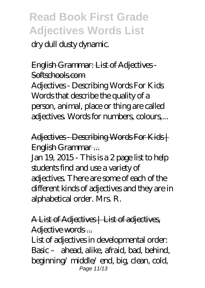dry dull dusty dynamic.

### English Grammar: List of Adjectives Softschools.com

Adjectives - Describing Words For Kids Words that describe the quality of a person, animal, place or thing are called adjectives. Words for numbers, colours,...

Adjectives Describing Words For Kids | English Grammar ...

Jan 19, 2015 - This is a 2 page list to help students find and use a variety of adjectives. There are some of each of the different kinds of adjectives and they are in alphabetical order. Mrs. R.

### A List of Adjectives | List of adjectives Adjective words...

List of adjectives in developmental order: Basic – ahead, alike, afraid, bad, behind, beginning/ middle/ end, big, clean, cold, Page 11/13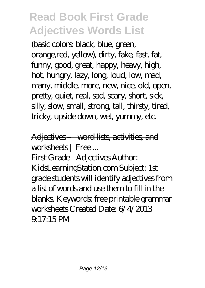(basic colors: black, blue, green, orange,red, yellow), dirty, fake, fast, fat, funny, good, great, happy, heavy, high, hot, hungry, lazy, long, loud, low, mad, many, middle, more, new, nice, old, open, pretty, quiet, real, sad, scary, short, sick, silly, slow, small, strong, tall, thirsty, tired, tricky, upside down, wet, yummy, etc.

Adjectives – word lists, activities, and worksheets | Free ...

First Grade - Adjectives Author: KidsLearningStation.com Subject: 1st grade students will identify adjectives from a list of words and use them to fill in the blanks. Keywords: free printable grammar worksheets Created Date: 6/4/2013 9:17:15 PM